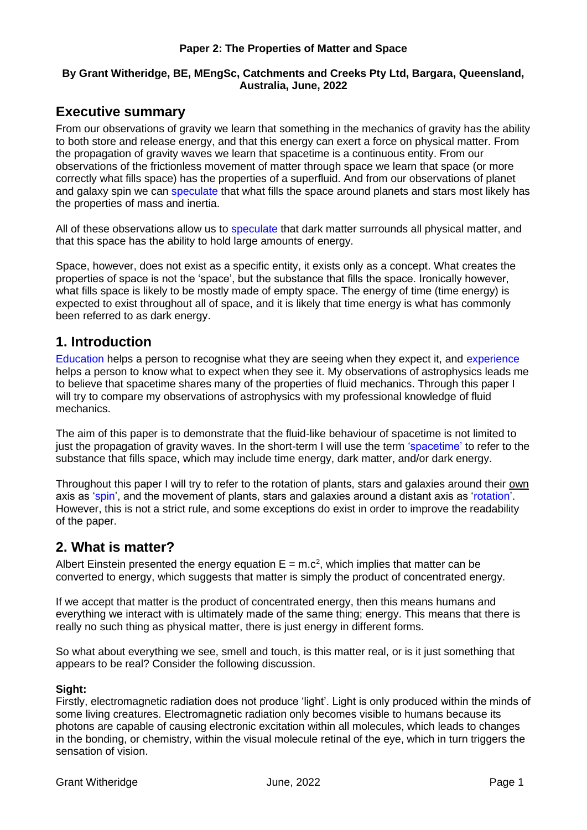#### **Paper 2: The Properties of Matter and Space**

### **By Grant Witheridge, BE, MEngSc, Catchments and Creeks Pty Ltd, Bargara, Queensland, Australia, June, 2022**

## **Executive summary**

From our observations of gravity we learn that something in the mechanics of gravity has the ability to both store and release energy, and that this energy can exert a force on physical matter. From the propagation of gravity waves we learn that spacetime is a continuous entity. From our observations of the frictionless movement of matter through space we learn that space (or more correctly what fills space) has the properties of a superfluid. And from our observations of planet and galaxy spin we can speculate that what fills the space around planets and stars most likely has the properties of mass and inertia.

All of these observations allow us to speculate that dark matter surrounds all physical matter, and that this space has the ability to hold large amounts of energy.

Space, however, does not exist as a specific entity, it exists only as a concept. What creates the properties of space is not the 'space', but the substance that fills the space. Ironically however, what fills space is likely to be mostly made of empty space. The energy of time (time energy) is expected to exist throughout all of space, and it is likely that time energy is what has commonly been referred to as dark energy.

## **1. Introduction**

Education helps a person to recognise what they are seeing when they expect it, and experience helps a person to know what to expect when they see it. My observations of astrophysics leads me to believe that spacetime shares many of the properties of fluid mechanics. Through this paper I will try to compare my observations of astrophysics with my professional knowledge of fluid mechanics.

The aim of this paper is to demonstrate that the fluid-like behaviour of spacetime is not limited to just the propagation of gravity waves. In the short-term I will use the term 'spacetime' to refer to the substance that fills space, which may include time energy, dark matter, and/or dark energy.

Throughout this paper I will try to refer to the rotation of plants, stars and galaxies around their own axis as 'spin', and the movement of plants, stars and galaxies around a distant axis as 'rotation'. However, this is not a strict rule, and some exceptions do exist in order to improve the readability of the paper.

# **2. What is matter?**

Albert Einstein presented the energy equation  $E = m.c^2$ , which implies that matter can be converted to energy, which suggests that matter is simply the product of concentrated energy.

If we accept that matter is the product of concentrated energy, then this means humans and everything we interact with is ultimately made of the same thing; energy. This means that there is really no such thing as physical matter, there is just energy in different forms.

So what about everything we see, smell and touch, is this matter real, or is it just something that appears to be real? Consider the following discussion.

### **Sight:**

Firstly, electromagnetic radiation does not produce 'light'. Light is only produced within the minds of some living creatures. Electromagnetic radiation only becomes visible to humans because its photons are capable of causing electronic excitation within all molecules, which leads to changes in the bonding, or chemistry, within the visual molecule retinal of the eye, which in turn triggers the sensation of vision.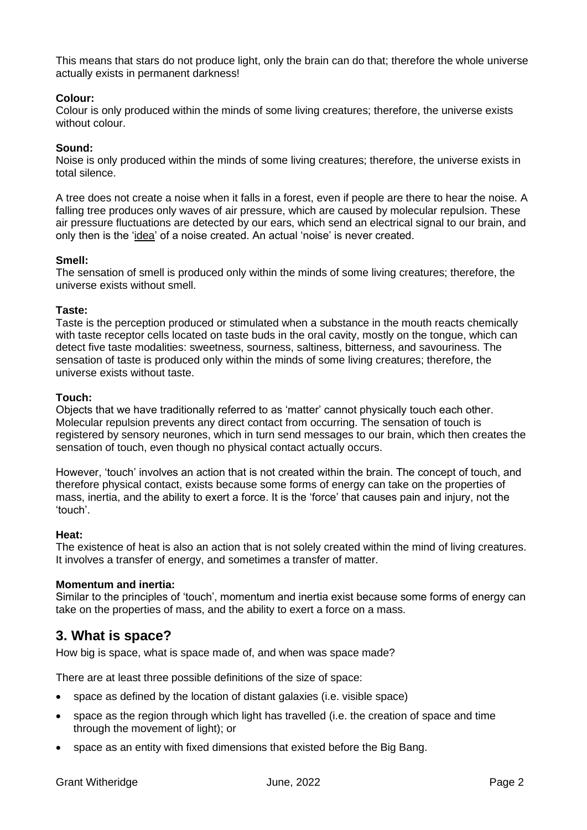This means that stars do not produce light, only the brain can do that; therefore the whole universe actually exists in permanent darkness!

### **Colour:**

Colour is only produced within the minds of some living creatures; therefore, the universe exists without colour.

### **Sound:**

Noise is only produced within the minds of some living creatures; therefore, the universe exists in total silence.

A tree does not create a noise when it falls in a forest, even if people are there to hear the noise. A falling tree produces only waves of air pressure, which are caused by molecular repulsion. These air pressure fluctuations are detected by our ears, which send an electrical signal to our brain, and only then is the 'idea' of a noise created. An actual 'noise' is never created.

### **Smell:**

The sensation of smell is produced only within the minds of some living creatures; therefore, the universe exists without smell.

### **Taste:**

Taste is the perception produced or stimulated when a substance in the mouth reacts chemically with taste receptor cells located on taste buds in the oral cavity, mostly on the tongue, which can detect five taste modalities: sweetness, sourness, saltiness, bitterness, and savouriness. The sensation of taste is produced only within the minds of some living creatures; therefore, the universe exists without taste.

### **Touch:**

Objects that we have traditionally referred to as 'matter' cannot physically touch each other. Molecular repulsion prevents any direct contact from occurring. The sensation of touch is registered by sensory neurones, which in turn send messages to our brain, which then creates the sensation of touch, even though no physical contact actually occurs.

However, 'touch' involves an action that is not created within the brain. The concept of touch, and therefore physical contact, exists because some forms of energy can take on the properties of mass, inertia, and the ability to exert a force. It is the 'force' that causes pain and injury, not the 'touch'.

### **Heat:**

The existence of heat is also an action that is not solely created within the mind of living creatures. It involves a transfer of energy, and sometimes a transfer of matter.

### **Momentum and inertia:**

Similar to the principles of 'touch', momentum and inertia exist because some forms of energy can take on the properties of mass, and the ability to exert a force on a mass.

# **3. What is space?**

How big is space, what is space made of, and when was space made?

There are at least three possible definitions of the size of space:

- space as defined by the location of distant galaxies (i.e. visible space)
- space as the region through which light has travelled (i.e. the creation of space and time through the movement of light); or
- space as an entity with fixed dimensions that existed before the Big Bang.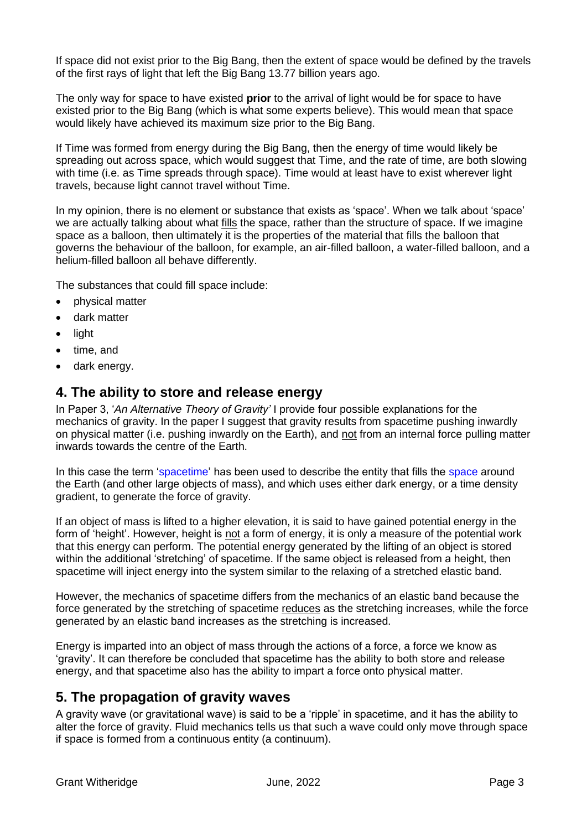If space did not exist prior to the Big Bang, then the extent of space would be defined by the travels of the first rays of light that left the Big Bang 13.77 billion years ago.

The only way for space to have existed **prior** to the arrival of light would be for space to have existed prior to the Big Bang (which is what some experts believe). This would mean that space would likely have achieved its maximum size prior to the Big Bang.

If Time was formed from energy during the Big Bang, then the energy of time would likely be spreading out across space, which would suggest that Time, and the rate of time, are both slowing with time (i.e. as Time spreads through space). Time would at least have to exist wherever light travels, because light cannot travel without Time.

In my opinion, there is no element or substance that exists as 'space'. When we talk about 'space' we are actually talking about what fills the space, rather than the structure of space. If we imagine space as a balloon, then ultimately it is the properties of the material that fills the balloon that governs the behaviour of the balloon, for example, an air-filled balloon, a water-filled balloon, and a helium-filled balloon all behave differently.

The substances that could fill space include:

- physical matter
- dark matter
- light
- time, and
- dark energy.

### **4. The ability to store and release energy**

In Paper 3, '*An Alternative Theory of Gravity'* I provide four possible explanations for the mechanics of gravity. In the paper I suggest that gravity results from spacetime pushing inwardly on physical matter (i.e. pushing inwardly on the Earth), and not from an internal force pulling matter inwards towards the centre of the Earth.

In this case the term 'spacetime' has been used to describe the entity that fills the space around the Earth (and other large objects of mass), and which uses either dark energy, or a time density gradient, to generate the force of gravity.

If an object of mass is lifted to a higher elevation, it is said to have gained potential energy in the form of 'height'. However, height is not a form of energy, it is only a measure of the potential work that this energy can perform. The potential energy generated by the lifting of an object is stored within the additional 'stretching' of spacetime. If the same object is released from a height, then spacetime will inject energy into the system similar to the relaxing of a stretched elastic band.

However, the mechanics of spacetime differs from the mechanics of an elastic band because the force generated by the stretching of spacetime reduces as the stretching increases, while the force generated by an elastic band increases as the stretching is increased.

Energy is imparted into an object of mass through the actions of a force, a force we know as 'gravity'. It can therefore be concluded that spacetime has the ability to both store and release energy, and that spacetime also has the ability to impart a force onto physical matter.

### **5. The propagation of gravity waves**

A gravity wave (or gravitational wave) is said to be a 'ripple' in spacetime, and it has the ability to alter the force of gravity. Fluid mechanics tells us that such a wave could only move through space if space is formed from a continuous entity (a continuum).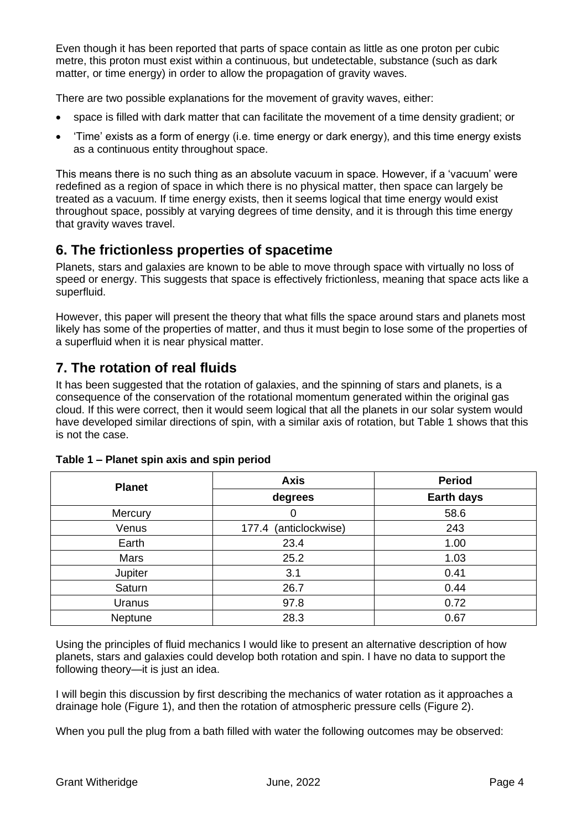Even though it has been reported that parts of space contain as little as one proton per cubic metre, this proton must exist within a continuous, but undetectable, substance (such as dark matter, or time energy) in order to allow the propagation of gravity waves.

There are two possible explanations for the movement of gravity waves, either:

- space is filled with dark matter that can facilitate the movement of a time density gradient; or
- 'Time' exists as a form of energy (i.e. time energy or dark energy), and this time energy exists as a continuous entity throughout space.

This means there is no such thing as an absolute vacuum in space. However, if a 'vacuum' were redefined as a region of space in which there is no physical matter, then space can largely be treated as a vacuum. If time energy exists, then it seems logical that time energy would exist throughout space, possibly at varying degrees of time density, and it is through this time energy that gravity waves travel.

# **6. The frictionless properties of spacetime**

Planets, stars and galaxies are known to be able to move through space with virtually no loss of speed or energy. This suggests that space is effectively frictionless, meaning that space acts like a superfluid.

However, this paper will present the theory that what fills the space around stars and planets most likely has some of the properties of matter, and thus it must begin to lose some of the properties of a superfluid when it is near physical matter.

# **7. The rotation of real fluids**

It has been suggested that the rotation of galaxies, and the spinning of stars and planets, is a consequence of the conservation of the rotational momentum generated within the original gas cloud. If this were correct, then it would seem logical that all the planets in our solar system would have developed similar directions of spin, with a similar axis of rotation, but Table 1 shows that this is not the case.

| <b>Planet</b> | <b>Axis</b>              | <b>Period</b>     |
|---------------|--------------------------|-------------------|
|               | degrees                  | <b>Earth days</b> |
| Mercury       | 0                        | 58.6              |
| Venus         | (anticlockwise)<br>177.4 | 243               |
| Earth         | 23.4                     | 1.00              |
| Mars          | 25.2                     | 1.03              |
| Jupiter       | 3.1                      | 0.41              |
| Saturn        | 26.7                     | 0.44              |
| Uranus        | 97.8                     | 0.72              |
| Neptune       | 28.3                     | 0.67              |

### **Table 1 – Planet spin axis and spin period**

Using the principles of fluid mechanics I would like to present an alternative description of how planets, stars and galaxies could develop both rotation and spin. I have no data to support the following theory—it is just an idea.

I will begin this discussion by first describing the mechanics of water rotation as it approaches a drainage hole (Figure 1), and then the rotation of atmospheric pressure cells (Figure 2).

When you pull the plug from a bath filled with water the following outcomes may be observed: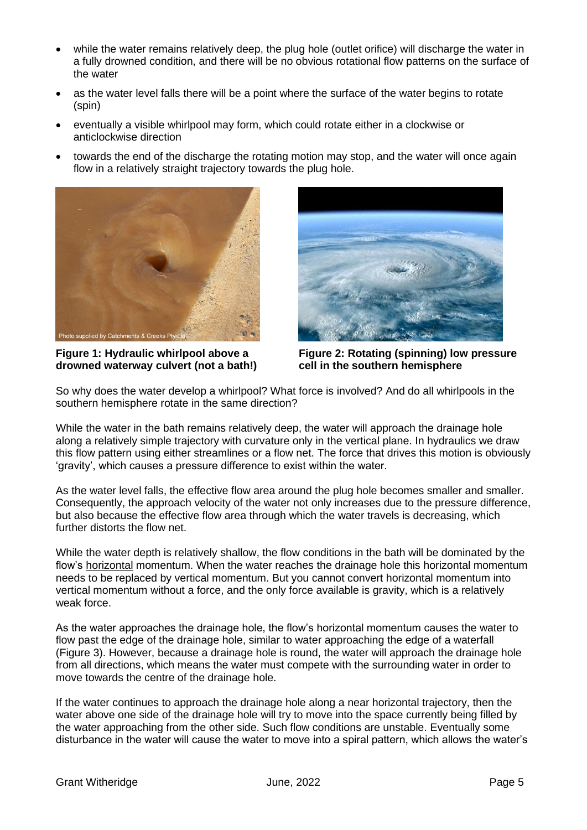- while the water remains relatively deep, the plug hole (outlet orifice) will discharge the water in a fully drowned condition, and there will be no obvious rotational flow patterns on the surface of the water
- as the water level falls there will be a point where the surface of the water begins to rotate (spin)
- eventually a visible whirlpool may form, which could rotate either in a clockwise or anticlockwise direction
- towards the end of the discharge the rotating motion may stop, and the water will once again flow in a relatively straight trajectory towards the plug hole.



**Figure 1: Hydraulic whirlpool above a drowned waterway culvert (not a bath!)**



**Figure 2: Rotating (spinning) low pressure cell in the southern hemisphere**

So why does the water develop a whirlpool? What force is involved? And do all whirlpools in the southern hemisphere rotate in the same direction?

While the water in the bath remains relatively deep, the water will approach the drainage hole along a relatively simple trajectory with curvature only in the vertical plane. In hydraulics we draw this flow pattern using either streamlines or a flow net. The force that drives this motion is obviously 'gravity', which causes a pressure difference to exist within the water.

As the water level falls, the effective flow area around the plug hole becomes smaller and smaller. Consequently, the approach velocity of the water not only increases due to the pressure difference, but also because the effective flow area through which the water travels is decreasing, which further distorts the flow net.

While the water depth is relatively shallow, the flow conditions in the bath will be dominated by the flow's horizontal momentum. When the water reaches the drainage hole this horizontal momentum needs to be replaced by vertical momentum. But you cannot convert horizontal momentum into vertical momentum without a force, and the only force available is gravity, which is a relatively weak force.

As the water approaches the drainage hole, the flow's horizontal momentum causes the water to flow past the edge of the drainage hole, similar to water approaching the edge of a waterfall (Figure 3). However, because a drainage hole is round, the water will approach the drainage hole from all directions, which means the water must compete with the surrounding water in order to move towards the centre of the drainage hole.

If the water continues to approach the drainage hole along a near horizontal trajectory, then the water above one side of the drainage hole will try to move into the space currently being filled by the water approaching from the other side. Such flow conditions are unstable. Eventually some disturbance in the water will cause the water to move into a spiral pattern, which allows the water's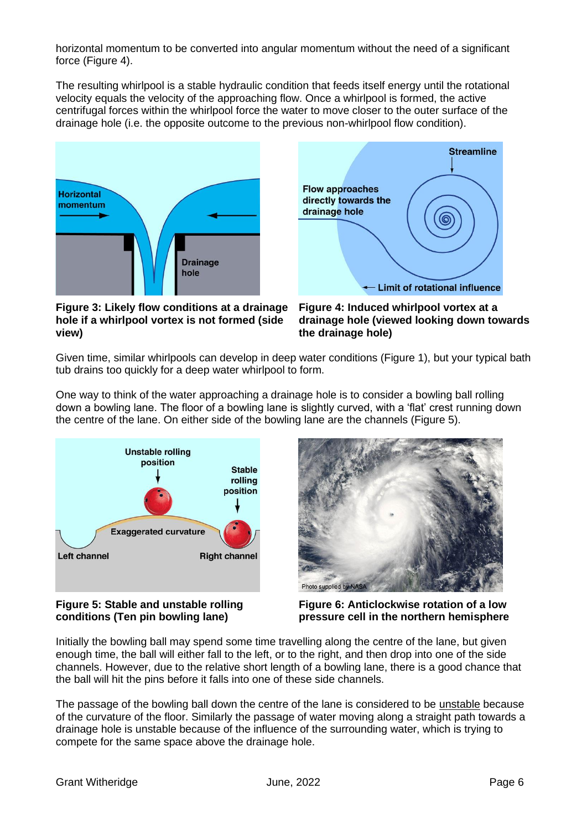horizontal momentum to be converted into angular momentum without the need of a significant force (Figure 4).

The resulting whirlpool is a stable hydraulic condition that feeds itself energy until the rotational velocity equals the velocity of the approaching flow. Once a whirlpool is formed, the active centrifugal forces within the whirlpool force the water to move closer to the outer surface of the drainage hole (i.e. the opposite outcome to the previous non-whirlpool flow condition).





**Figure 3: Likely flow conditions at a drainage hole if a whirlpool vortex is not formed (side view)**

**Figure 4: Induced whirlpool vortex at a drainage hole (viewed looking down towards the drainage hole)**

Given time, similar whirlpools can develop in deep water conditions (Figure 1), but your typical bath tub drains too quickly for a deep water whirlpool to form.

One way to think of the water approaching a drainage hole is to consider a bowling ball rolling down a bowling lane. The floor of a bowling lane is slightly curved, with a 'flat' crest running down the centre of the lane. On either side of the bowling lane are the channels (Figure 5).



#### **Figure 5: Stable and unstable rolling conditions (Ten pin bowling lane)**



**Figure 6: Anticlockwise rotation of a low pressure cell in the northern hemisphere**

Initially the bowling ball may spend some time travelling along the centre of the lane, but given enough time, the ball will either fall to the left, or to the right, and then drop into one of the side channels. However, due to the relative short length of a bowling lane, there is a good chance that the ball will hit the pins before it falls into one of these side channels.

The passage of the bowling ball down the centre of the lane is considered to be unstable because of the curvature of the floor. Similarly the passage of water moving along a straight path towards a drainage hole is unstable because of the influence of the surrounding water, which is trying to compete for the same space above the drainage hole.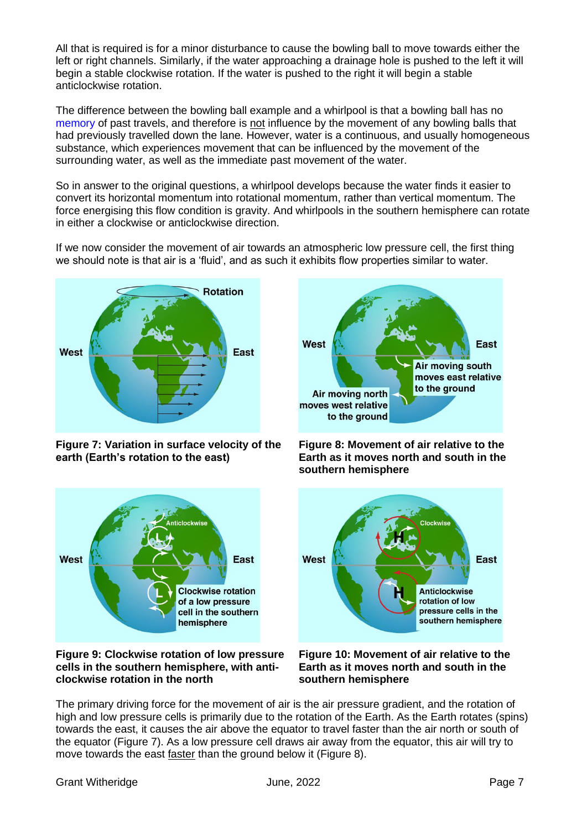All that is required is for a minor disturbance to cause the bowling ball to move towards either the left or right channels. Similarly, if the water approaching a drainage hole is pushed to the left it will begin a stable clockwise rotation. If the water is pushed to the right it will begin a stable anticlockwise rotation.

The difference between the bowling ball example and a whirlpool is that a bowling ball has no memory of past travels, and therefore is not influence by the movement of any bowling balls that had previously travelled down the lane. However, water is a continuous, and usually homogeneous substance, which experiences movement that can be influenced by the movement of the surrounding water, as well as the immediate past movement of the water.

So in answer to the original questions, a whirlpool develops because the water finds it easier to convert its horizontal momentum into rotational momentum, rather than vertical momentum. The force energising this flow condition is gravity. And whirlpools in the southern hemisphere can rotate in either a clockwise or anticlockwise direction.

If we now consider the movement of air towards an atmospheric low pressure cell, the first thing we should note is that air is a 'fluid', and as such it exhibits flow properties similar to water.



**Figure 7: Variation in surface velocity of the earth (Earth's rotation to the east)**



**Figure 9: Clockwise rotation of low pressure cells in the southern hemisphere, with anticlockwise rotation in the north**



**Figure 8: Movement of air relative to the Earth as it moves north and south in the southern hemisphere**



**Figure 10: Movement of air relative to the Earth as it moves north and south in the southern hemisphere**

The primary driving force for the movement of air is the air pressure gradient, and the rotation of high and low pressure cells is primarily due to the rotation of the Earth. As the Earth rotates (spins) towards the east, it causes the air above the equator to travel faster than the air north or south of the equator (Figure 7). As a low pressure cell draws air away from the equator, this air will try to move towards the east faster than the ground below it (Figure 8).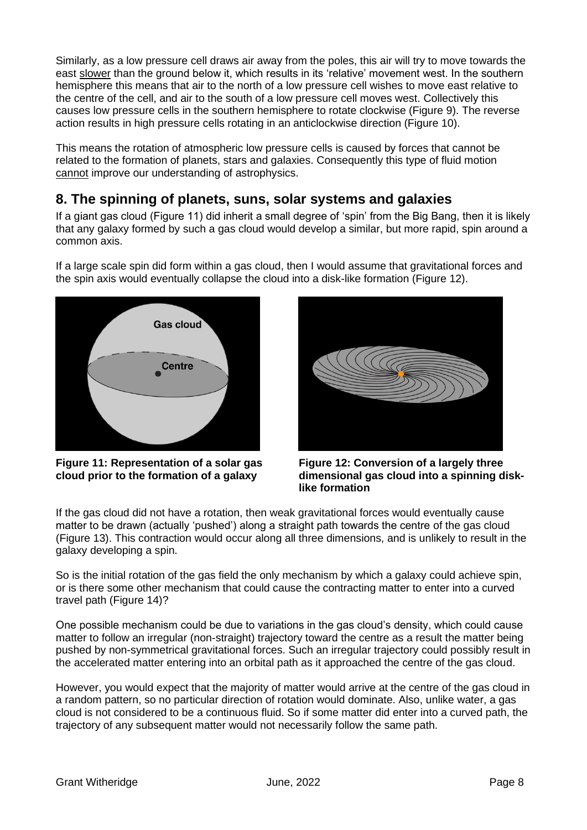Similarly, as a low pressure cell draws air away from the poles, this air will try to move towards the east slower than the ground below it, which results in its 'relative' movement west. In the southern hemisphere this means that air to the north of a low pressure cell wishes to move east relative to the centre of the cell, and air to the south of a low pressure cell moves west. Collectively this causes low pressure cells in the southern hemisphere to rotate clockwise (Figure 9). The reverse action results in high pressure cells rotating in an anticlockwise direction (Figure 10).

This means the rotation of atmospheric low pressure cells is caused by forces that cannot be related to the formation of planets, stars and galaxies. Consequently this type of fluid motion cannot improve our understanding of astrophysics.

# **8. The spinning of planets, suns, solar systems and galaxies**

If a giant gas cloud (Figure 11) did inherit a small degree of 'spin' from the Big Bang, then it is likely that any galaxy formed by such a gas cloud would develop a similar, but more rapid, spin around a common axis.

If a large scale spin did form within a gas cloud, then I would assume that gravitational forces and the spin axis would eventually collapse the cloud into a disk-like formation (Figure 12).



**Figure 11: Representation of a solar gas cloud prior to the formation of a galaxy**



**Figure 12: Conversion of a largely three dimensional gas cloud into a spinning disklike formation**

If the gas cloud did not have a rotation, then weak gravitational forces would eventually cause matter to be drawn (actually 'pushed') along a straight path towards the centre of the gas cloud (Figure 13). This contraction would occur along all three dimensions, and is unlikely to result in the galaxy developing a spin.

So is the initial rotation of the gas field the only mechanism by which a galaxy could achieve spin, or is there some other mechanism that could cause the contracting matter to enter into a curved travel path (Figure 14)?

One possible mechanism could be due to variations in the gas cloud's density, which could cause matter to follow an irregular (non-straight) trajectory toward the centre as a result the matter being pushed by non-symmetrical gravitational forces. Such an irregular trajectory could possibly result in the accelerated matter entering into an orbital path as it approached the centre of the gas cloud.

However, you would expect that the majority of matter would arrive at the centre of the gas cloud in a random pattern, so no particular direction of rotation would dominate. Also, unlike water, a gas cloud is not considered to be a continuous fluid. So if some matter did enter into a curved path, the trajectory of any subsequent matter would not necessarily follow the same path.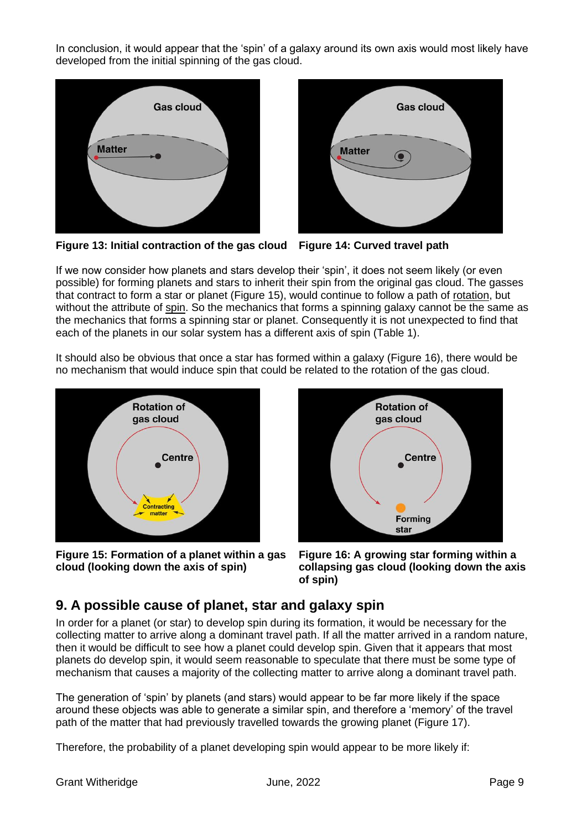In conclusion, it would appear that the 'spin' of a galaxy around its own axis would most likely have developed from the initial spinning of the gas cloud.





**Figure 13: Initial contraction of the gas cloud Figure 14: Curved travel path**

If we now consider how planets and stars develop their 'spin', it does not seem likely (or even possible) for forming planets and stars to inherit their spin from the original gas cloud. The gasses that contract to form a star or planet (Figure 15), would continue to follow a path of rotation, but without the attribute of spin. So the mechanics that forms a spinning galaxy cannot be the same as the mechanics that forms a spinning star or planet. Consequently it is not unexpected to find that each of the planets in our solar system has a different axis of spin (Table 1).

It should also be obvious that once a star has formed within a galaxy (Figure 16), there would be no mechanism that would induce spin that could be related to the rotation of the gas cloud.



**Figure 15: Formation of a planet within a gas cloud (looking down the axis of spin)**



**Figure 16: A growing star forming within a collapsing gas cloud (looking down the axis of spin)**

# **9. A possible cause of planet, star and galaxy spin**

In order for a planet (or star) to develop spin during its formation, it would be necessary for the collecting matter to arrive along a dominant travel path. If all the matter arrived in a random nature, then it would be difficult to see how a planet could develop spin. Given that it appears that most planets do develop spin, it would seem reasonable to speculate that there must be some type of mechanism that causes a majority of the collecting matter to arrive along a dominant travel path.

The generation of 'spin' by planets (and stars) would appear to be far more likely if the space around these objects was able to generate a similar spin, and therefore a 'memory' of the travel path of the matter that had previously travelled towards the growing planet (Figure 17).

Therefore, the probability of a planet developing spin would appear to be more likely if: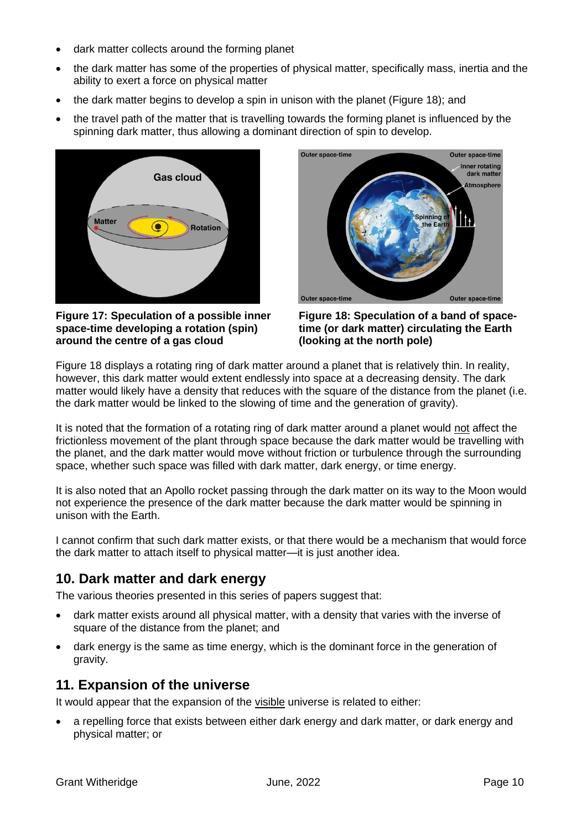- dark matter collects around the forming planet
- the dark matter has some of the properties of physical matter, specifically mass, inertia and the ability to exert a force on physical matter
- the dark matter begins to develop a spin in unison with the planet (Figure 18); and
- the travel path of the matter that is travelling towards the forming planet is influenced by the spinning dark matter, thus allowing a dominant direction of spin to develop.



**Figure 17: Speculation of a possible inner space-time developing a rotation (spin) around the centre of a gas cloud**



**Figure 18: Speculation of a band of spacetime (or dark matter) circulating the Earth (looking at the north pole)**

Figure 18 displays a rotating ring of dark matter around a planet that is relatively thin. In reality, however, this dark matter would extent endlessly into space at a decreasing density. The dark matter would likely have a density that reduces with the square of the distance from the planet (i.e. the dark matter would be linked to the slowing of time and the generation of gravity).

It is noted that the formation of a rotating ring of dark matter around a planet would not affect the frictionless movement of the plant through space because the dark matter would be travelling with the planet, and the dark matter would move without friction or turbulence through the surrounding space, whether such space was filled with dark matter, dark energy, or time energy.

It is also noted that an Apollo rocket passing through the dark matter on its way to the Moon would not experience the presence of the dark matter because the dark matter would be spinning in unison with the Earth.

I cannot confirm that such dark matter exists, or that there would be a mechanism that would force the dark matter to attach itself to physical matter—it is just another idea.

# **10. Dark matter and dark energy**

The various theories presented in this series of papers suggest that:

- dark matter exists around all physical matter, with a density that varies with the inverse of square of the distance from the planet; and
- dark energy is the same as time energy, which is the dominant force in the generation of gravity.

### **11. Expansion of the universe**

It would appear that the expansion of the visible universe is related to either:

• a repelling force that exists between either dark energy and dark matter, or dark energy and physical matter; or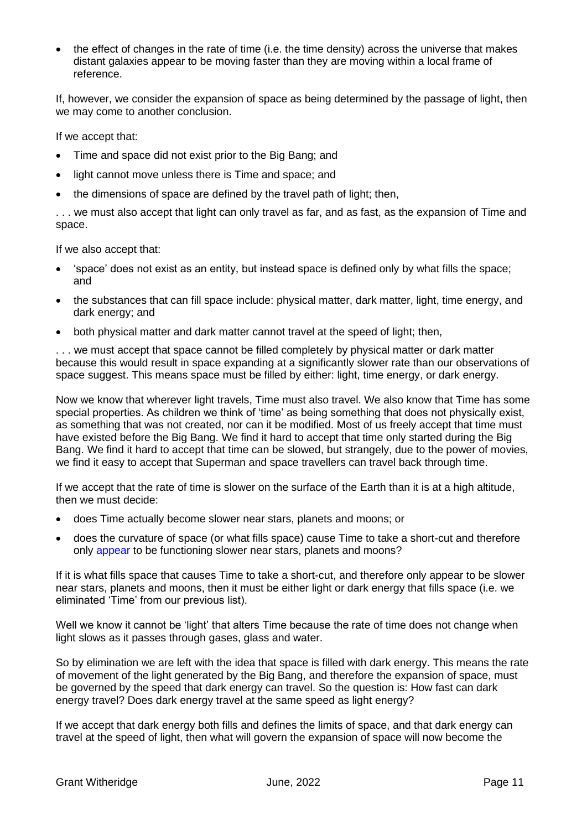• the effect of changes in the rate of time (i.e. the time density) across the universe that makes distant galaxies appear to be moving faster than they are moving within a local frame of reference.

If, however, we consider the expansion of space as being determined by the passage of light, then we may come to another conclusion.

If we accept that:

- Time and space did not exist prior to the Big Bang; and
- light cannot move unless there is Time and space; and
- the dimensions of space are defined by the travel path of light; then,

. . . we must also accept that light can only travel as far, and as fast, as the expansion of Time and space.

If we also accept that:

- 'space' does not exist as an entity, but instead space is defined only by what fills the space; and
- the substances that can fill space include: physical matter, dark matter, light, time energy, and dark energy; and
- both physical matter and dark matter cannot travel at the speed of light; then,

... we must accept that space cannot be filled completely by physical matter or dark matter because this would result in space expanding at a significantly slower rate than our observations of space suggest. This means space must be filled by either: light, time energy, or dark energy.

Now we know that wherever light travels, Time must also travel. We also know that Time has some special properties. As children we think of 'time' as being something that does not physically exist, as something that was not created, nor can it be modified. Most of us freely accept that time must have existed before the Big Bang. We find it hard to accept that time only started during the Big Bang. We find it hard to accept that time can be slowed, but strangely, due to the power of movies, we find it easy to accept that Superman and space travellers can travel back through time.

If we accept that the rate of time is slower on the surface of the Earth than it is at a high altitude, then we must decide:

- does Time actually become slower near stars, planets and moons; or
- does the curvature of space (or what fills space) cause Time to take a short-cut and therefore only appear to be functioning slower near stars, planets and moons?

If it is what fills space that causes Time to take a short-cut, and therefore only appear to be slower near stars, planets and moons, then it must be either light or dark energy that fills space (i.e. we eliminated 'Time' from our previous list).

Well we know it cannot be 'light' that alters Time because the rate of time does not change when light slows as it passes through gases, glass and water.

So by elimination we are left with the idea that space is filled with dark energy. This means the rate of movement of the light generated by the Big Bang, and therefore the expansion of space, must be governed by the speed that dark energy can travel. So the question is: How fast can dark energy travel? Does dark energy travel at the same speed as light energy?

If we accept that dark energy both fills and defines the limits of space, and that dark energy can travel at the speed of light, then what will govern the expansion of space will now become the